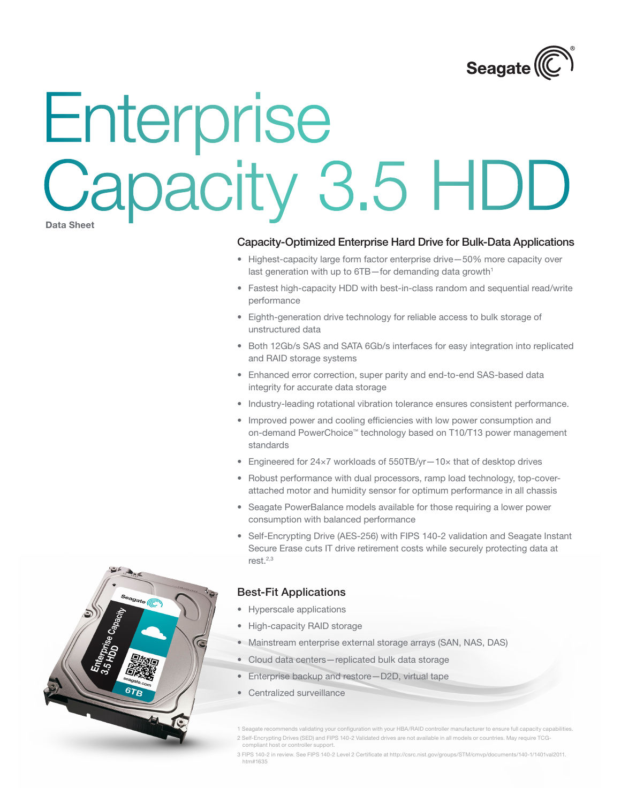

# **Data Sheet** Enterprise Capacity 3.5 HDD

### Capacity-Optimized Enterprise Hard Drive for Bulk-Data Applications

- Highest-capacity large form factor enterprise drive-50% more capacity over last generation with up to 6TB-for demanding data growth<sup>1</sup>
- Fastest high-capacity HDD with best-in-class random and sequential read/write performance
- • Eighth-generation drive technology for reliable access to bulk storage of unstructured data
- Both 12Gb/s SAS and SATA 6Gb/s interfaces for easy integration into replicated and RAID storage systems
- Enhanced error correction, super parity and end-to-end SAS-based data integrity for accurate data storage
- • Industry-leading rotational vibration tolerance ensures consistent performance.
- Improved power and cooling efficiencies with low power consumption and on-demand PowerChoice™ technology based on T10/T13 power management standards
- Engineered for 24×7 workloads of 550TB/yr-10× that of desktop drives
- Robust performance with dual processors, ramp load technology, top-coverattached motor and humidity sensor for optimum performance in all chassis
- Seagate PowerBalance models available for those requiring a lower power consumption with balanced performance
- Self-Encrypting Drive (AES-256) with FIPS 140-2 validation and Seagate Instant Secure Erase cuts IT drive retirement costs while securely protecting data at  $rest.<sup>2,3</sup>$

### Best-Fit Applications

- • Hyperscale applications
- High-capacity RAID storage
- Mainstream enterprise external storage arrays (SAN, NAS, DAS)
- Cloud data centers-replicated bulk data storage
- Enterprise backup and restore-D2D, virtual tape
- • Centralized surveillance

1 Seagate recommends validating your configuration with your HBA/RAID controller manufacturer to ensure full capacity capabilities. 2 Self-Encrypting Drives (SED) and FIPS 140-2 Validated drives are not available in all models or countries. May require TCGcompliant host or controller support.

3 FIPS 140-2 in review. See FIPS 140-2 Level 2 Certificate at http://csrc.nist.gov/groups/STM/cmvp/documents/140-1/1401val2011. htm#1635

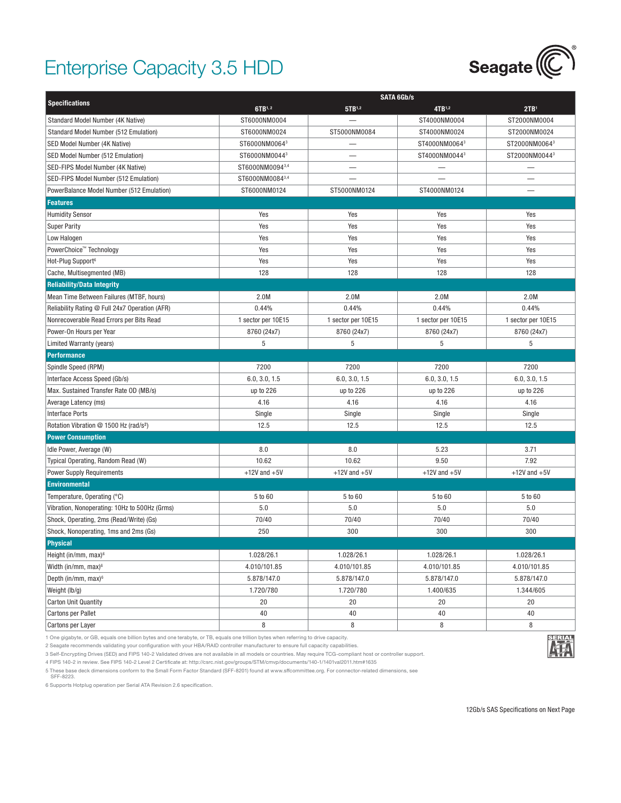## Enterprise Capacity 3.5 HDD



|                                                    |                    | <b>SATA 6Gb/s</b>        |                    |                    |  |
|----------------------------------------------------|--------------------|--------------------------|--------------------|--------------------|--|
| <b>Specifications</b>                              | 6TB1,2             | 5TB1,2                   | 4TB1,2             | 2TB <sup>1</sup>   |  |
| Standard Model Number (4K Native)                  | ST6000NM0004       |                          | ST4000NM0004       | ST2000NM0004       |  |
| Standard Model Number (512 Emulation)              | ST6000NM0024       | ST5000NM0084             | ST4000NM0024       | ST2000NM0024       |  |
| SED Model Number (4K Native)                       | ST6000NM00643      |                          | ST4000NM00643      | ST2000NM00643      |  |
| SED Model Number (512 Emulation)                   | ST6000NM00443      |                          | ST4000NM00443      | ST2000NM00443      |  |
| SED-FIPS Model Number (4K Native)                  | ST6000NM00943,4    |                          |                    |                    |  |
| SED-FIPS Model Number (512 Emulation)              | ST6000NM00843,4    | $\overline{\phantom{0}}$ |                    |                    |  |
| PowerBalance Model Number (512 Emulation)          | ST6000NM0124       | ST5000NM0124             | ST4000NM0124       |                    |  |
| <b>Features</b>                                    |                    |                          |                    |                    |  |
| <b>Humidity Sensor</b>                             | Yes                | Yes                      | Yes                | Yes                |  |
| <b>Super Parity</b>                                | Yes                | Yes                      | Yes                | Yes                |  |
| Low Halogen                                        | Yes                | Yes                      | Yes                | Yes                |  |
| PowerChoice™ Technology                            | Yes                | Yes                      | Yes                | Yes                |  |
| Hot-Plug Support <sup>6</sup>                      | Yes                | Yes                      | Yes                | Yes                |  |
| Cache, Multisegmented (MB)                         | 128                | 128                      | 128                | 128                |  |
| <b>Reliability/Data Integrity</b>                  |                    |                          |                    |                    |  |
| Mean Time Between Failures (MTBF, hours)           | 2.0M               | 2.0M                     | 2.0M               | 2.0M               |  |
| Reliability Rating @ Full 24x7 Operation (AFR)     | 0.44%              | 0.44%                    | 0.44%              | 0.44%              |  |
| Nonrecoverable Read Errors per Bits Read           | 1 sector per 10E15 | 1 sector per 10E15       | 1 sector per 10E15 | 1 sector per 10E15 |  |
| Power-On Hours per Year                            | 8760 (24x7)        | 8760 (24x7)              | 8760 (24x7)        | 8760 (24x7)        |  |
| Limited Warranty (years)                           | 5                  | 5                        | 5                  | 5                  |  |
| <b>Performance</b>                                 |                    |                          |                    |                    |  |
|                                                    |                    |                          |                    |                    |  |
| Spindle Speed (RPM)                                | 7200               | 7200                     | 7200               | 7200               |  |
| Interface Access Speed (Gb/s)                      | 6.0, 3.0, 1.5      | 6.0, 3.0, 1.5            | 6.0, 3.0, 1.5      | 6.0, 3.0, 1.5      |  |
| Max. Sustained Transfer Rate OD (MB/s)             | up to 226          | up to 226                | up to 226          | up to 226          |  |
| Average Latency (ms)                               | 4.16               | 4.16                     | 4.16               | 4.16               |  |
| <b>Interface Ports</b>                             | Single             | Single                   | Single             | Single             |  |
| Rotation Vibration @ 1500 Hz (rad/s <sup>2</sup> ) | 12.5               | 12.5                     | 12.5               | 12.5               |  |
| <b>Power Consumption</b>                           |                    |                          |                    |                    |  |
| Idle Power, Average (W)                            | 8.0                | 8.0                      | 5.23               | 3.71               |  |
| Typical Operating, Random Read (W)                 | 10.62              | 10.62                    | 9.50               | 7.92               |  |
| <b>Power Supply Requirements</b>                   | $+12V$ and $+5V$   | $+12V$ and $+5V$         | $+12V$ and $+5V$   | $+12V$ and $+5V$   |  |
| <b>Environmental</b>                               |                    |                          |                    |                    |  |
| Temperature, Operating (°C)                        | 5 to 60            | 5 to 60                  | 5 to 60            | 5 to 60            |  |
| Vibration, Nonoperating: 10Hz to 500Hz (Grms)      | 5.0                | 5.0                      | 5.0                | 5.0                |  |
| Shock, Operating, 2ms (Read/Write) (Gs)            | 70/40              | 70/40                    | 70/40              | 70/40              |  |
| Shock, Nonoperating, 1ms and 2ms (Gs)              | 250                | 300                      | 300                | 300                |  |
| <b>Physical</b>                                    |                    |                          |                    |                    |  |
| Height (in/mm, max) <sup>6</sup>                   | 1.028/26.1         | 1.028/26.1               | 1.028/26.1         | 1.028/26.1         |  |
| Width (in/mm, max) $6$                             | 4.010/101.85       | 4.010/101.85             | 4.010/101.85       | 4.010/101.85       |  |
| Depth (in/mm, max) <sup>6</sup>                    | 5.878/147.0        | 5.878/147.0              | 5.878/147.0        | 5.878/147.0        |  |
| Weight (lb/g)                                      | 1.720/780          | 1.720/780                | 1.400/635          | 1.344/605          |  |
| <b>Carton Unit Quantity</b>                        | 20                 | 20                       | 20                 | 20                 |  |
| <b>Cartons per Pallet</b>                          | 40                 | 40                       | 40                 | 40                 |  |
| Cartons per Layer                                  | 8                  | 8                        | 8                  | 8                  |  |

1 One gigabyte, or GB, equals one billion bytes and one terabyte, or TB, equals one trillion bytes when referring to drive capacity.

2 Seagate recommends validating your configuration with your HBA/RAID controller manufacturer to ensure full capacity capabilities.

3 Self-Encrypting Drives (SED) and FIPS 140-2 Validated drives are not available in all models or countries. May require TCG-compliant host or controller support.

4 FIPS 140-2 in review. See FIPS 140-2 Level 2 Certificate at: http://csrc.nist.gov/groups/STM/cmvp/documents/140-1/1401val2011.htm#1635

5 These base deck dimensions conform to the Small Form Factor Standard (SFF-8201) found at www.sffcommittee.org. For connector-related dimensions, see SFF-8223.

6 Supports Hotplug operation per Serial ATA Revision 2.6 specification.

**SERIAL**